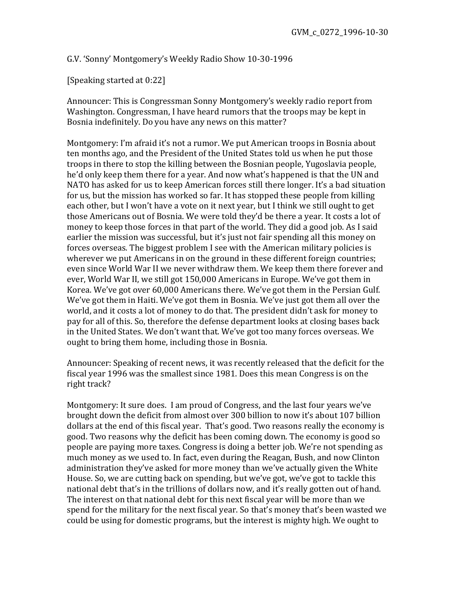G.V. 'Sonny' Montgomery's Weekly Radio Show 10-30-1996

[Speaking started at 0:22]

Announcer: This is Congressman Sonny Montgomery's weekly radio report from Washington. Congressman, I have heard rumors that the troops may be kept in Bosnia indefinitely. Do you have any news on this matter?

Montgomery: I'm afraid it's not a rumor. We put American troops in Bosnia about ten months ago, and the President of the United States told us when he put those troops in there to stop the killing between the Bosnian people, Yugoslavia people, he'd only keep them there for a year. And now what's happened is that the UN and NATO has asked for us to keep American forces still there longer. It's a bad situation for us, but the mission has worked so far. It has stopped these people from killing each other, but I won't have a vote on it next year, but I think we still ought to get those Americans out of Bosnia. We were told they'd be there a year. It costs a lot of money to keep those forces in that part of the world. They did a good job. As I said earlier the mission was successful, but it's just not fair spending all this money on forces overseas. The biggest problem I see with the American military policies is wherever we put Americans in on the ground in these different foreign countries; even since World War II we never withdraw them. We keep them there forever and ever, World War II, we still got 150,000 Americans in Europe. We've got them in Korea. We've got over 60,000 Americans there. We've got them in the Persian Gulf. We've got them in Haiti. We've got them in Bosnia. We've just got them all over the world, and it costs a lot of money to do that. The president didn't ask for money to pay for all of this. So, therefore the defense department looks at closing bases back in the United States. We don't want that. We've got too many forces overseas. We ought to bring them home, including those in Bosnia.

Announcer: Speaking of recent news, it was recently released that the deficit for the fiscal year 1996 was the smallest since 1981. Does this mean Congress is on the right track?

Montgomery: It sure does. I am proud of Congress, and the last four years we've brought down the deficit from almost over 300 billion to now it's about 107 billion dollars at the end of this fiscal year. That's good. Two reasons really the economy is good. Two reasons why the deficit has been coming down. The economy is good so people are paying more taxes. Congress is doing a better job. We're not spending as much money as we used to. In fact, even during the Reagan, Bush, and now Clinton administration they've asked for more money than we've actually given the White House. So, we are cutting back on spending, but we've got, we've got to tackle this national debt that's in the trillions of dollars now, and it's really gotten out of hand. The interest on that national debt for this next fiscal year will be more than we spend for the military for the next fiscal year. So that's money that's been wasted we could be using for domestic programs, but the interest is mighty high. We ought to